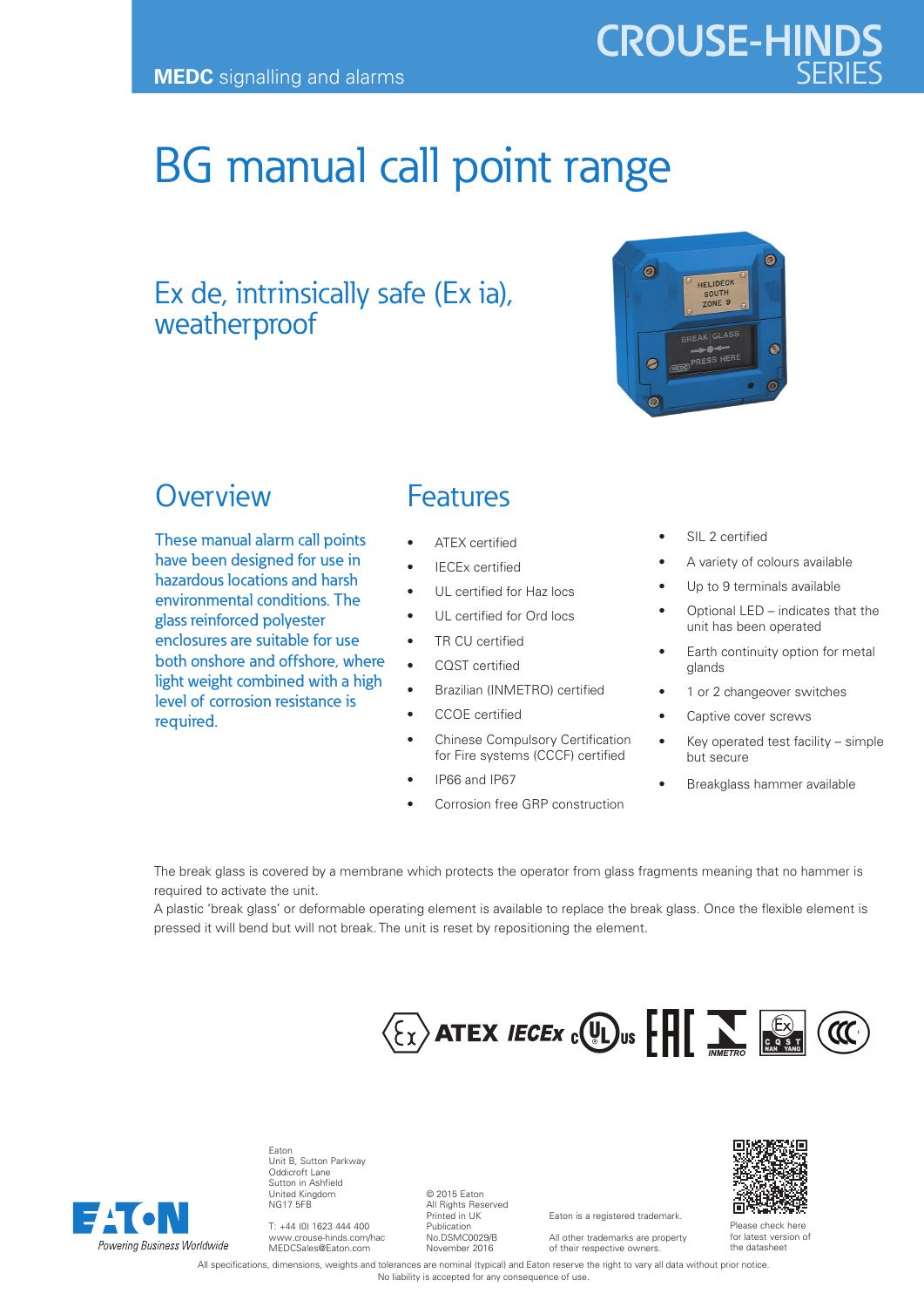# BG manual call point range

## Ex de, intrinsically safe (Ex ia), weatherproof



**CROUSE-HINDS**

### **Overview**

These manual alarm call points have been designed for use in hazardous locations and harsh environmental conditions. The glass reinforced polyester enclosures are suitable for use both onshore and offshore, where light weight combined with a high level of corrosion resistance is required.

#### Features

- ATEX certified
- **IECEx certified**
- UL certified for Haz locs
- UL certified for Ord locs
- TR CU certified
- CQST certified
- Brazilian (INMETRO) certified
- CCOE certified
- Chinese Compulsory Certification for Fire systems (CCCF) certified
- IP66 and IP67
- Corrosion free GRP construction
- SIL 2 certified
- A variety of colours available
- Up to 9 terminals available
- Optional LED indicates that the unit has been operated
- Earth continuity option for metal glands
- 1 or 2 changeover switches
- Captive cover screws
- Key operated test facility simple but secure
- Breakglass hammer available

The break glass is covered by a membrane which protects the operator from glass fragments meaning that no hammer is required to activate the unit.

A plastic 'break glass' or deformable operating element is available to replace the break glass. Once the flexible element is pressed it will bend but will not break. The unit is reset by repositioning the element.



Eaton is a registered trademark. All other trademarks are property of their respective owners.



Eaton Unit B, Sutton Parkway Oddicroft Lane Sutton in Ashfield United Kingdom NG17 5FB

T: +44 (0) 1623 444 400 www.crouse-hinds.com/hac MEDCSales@Eaton.com

© 2015 Eaton All Rights Reserved Printed in UK Publication No.DSMC0029/B November 2016

Please check here for latest version of the datasheet

All specifications, dimensions, weights and tolerances are nominal (typical) and Eaton reserve the right to vary all data without prior notice. No liability is accepted for any consequence of use.